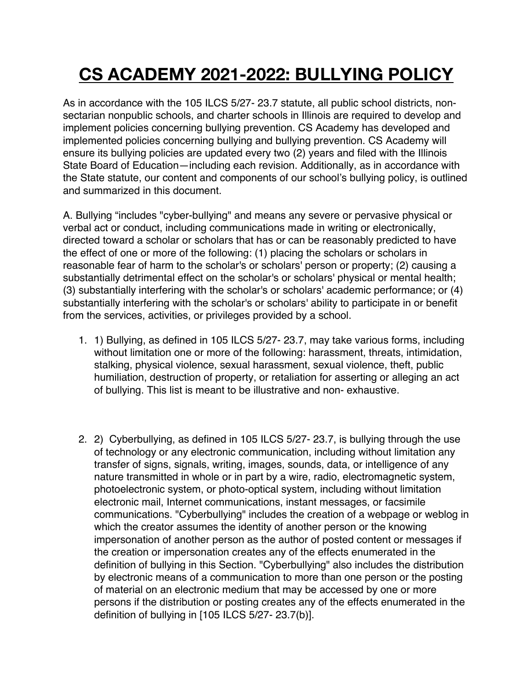# **CS ACADEMY 2021-2022: BULLYING POLICY**

As in accordance with the 105 ILCS 5/27- 23.7 statute, all public school districts, nonsectarian nonpublic schools, and charter schools in Illinois are required to develop and implement policies concerning bullying prevention. CS Academy has developed and implemented policies concerning bullying and bullying prevention. CS Academy will ensure its bullying policies are updated every two (2) years and filed with the Illinois State Board of Education—including each revision. Additionally, as in accordance with the State statute, our content and components of our school's bullying policy, is outlined and summarized in this document.

A. Bullying "includes "cyber-bullying" and means any severe or pervasive physical or verbal act or conduct, including communications made in writing or electronically, directed toward a scholar or scholars that has or can be reasonably predicted to have the effect of one or more of the following: (1) placing the scholars or scholars in reasonable fear of harm to the scholar's or scholars' person or property; (2) causing a substantially detrimental effect on the scholar's or scholars' physical or mental health; (3) substantially interfering with the scholar's or scholars' academic performance; or (4) substantially interfering with the scholar's or scholars' ability to participate in or benefit from the services, activities, or privileges provided by a school.

- 1. 1) Bullying, as defined in 105 ILCS 5/27- 23.7, may take various forms, including without limitation one or more of the following: harassment, threats, intimidation, stalking, physical violence, sexual harassment, sexual violence, theft, public humiliation, destruction of property, or retaliation for asserting or alleging an act of bullying. This list is meant to be illustrative and non- exhaustive.
- 2. 2) Cyberbullying, as defined in 105 ILCS 5/27- 23.7, is bullying through the use of technology or any electronic communication, including without limitation any transfer of signs, signals, writing, images, sounds, data, or intelligence of any nature transmitted in whole or in part by a wire, radio, electromagnetic system, photoelectronic system, or photo-optical system, including without limitation electronic mail, Internet communications, instant messages, or facsimile communications. "Cyberbullying" includes the creation of a webpage or weblog in which the creator assumes the identity of another person or the knowing impersonation of another person as the author of posted content or messages if the creation or impersonation creates any of the effects enumerated in the definition of bullying in this Section. "Cyberbullying" also includes the distribution by electronic means of a communication to more than one person or the posting of material on an electronic medium that may be accessed by one or more persons if the distribution or posting creates any of the effects enumerated in the definition of bullying in [105 ILCS 5/27- 23.7(b)].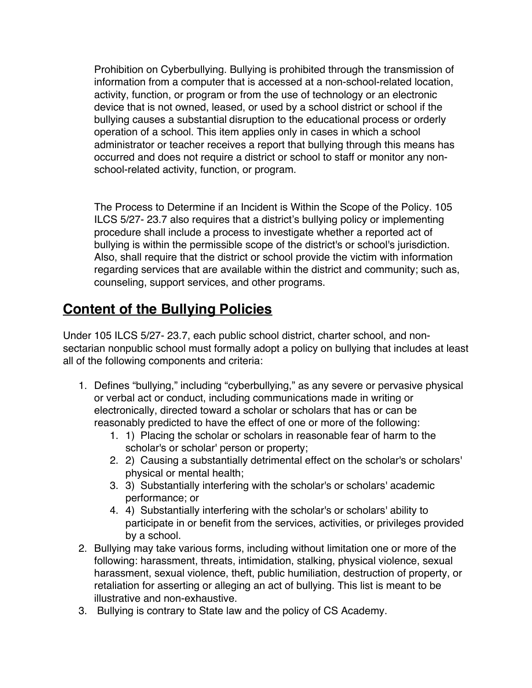Prohibition on Cyberbullying. Bullying is prohibited through the transmission of information from a computer that is accessed at a non-school-related location, activity, function, or program or from the use of technology or an electronic device that is not owned, leased, or used by a school district or school if the bullying causes a substantial disruption to the educational process or orderly operation of a school. This item applies only in cases in which a school administrator or teacher receives a report that bullying through this means has occurred and does not require a district or school to staff or monitor any nonschool-related activity, function, or program.

The Process to Determine if an Incident is Within the Scope of the Policy. 105 ILCS 5/27- 23.7 also requires that a district's bullying policy or implementing procedure shall include a process to investigate whether a reported act of bullying is within the permissible scope of the district's or school's jurisdiction. Also, shall require that the district or school provide the victim with information regarding services that are available within the district and community; such as, counseling, support services, and other programs.

## **Content of the Bullying Policies**

Under 105 ILCS 5/27- 23.7, each public school district, charter school, and nonsectarian nonpublic school must formally adopt a policy on bullying that includes at least all of the following components and criteria:

- 1. Defines "bullying," including "cyberbullying," as any severe or pervasive physical or verbal act or conduct, including communications made in writing or electronically, directed toward a scholar or scholars that has or can be reasonably predicted to have the effect of one or more of the following:
	- 1. 1) Placing the scholar or scholars in reasonable fear of harm to the scholar's or scholar' person or property;
	- 2. 2) Causing a substantially detrimental effect on the scholar's or scholars' physical or mental health;
	- 3. 3) Substantially interfering with the scholar's or scholars' academic performance; or
	- 4. 4) Substantially interfering with the scholar's or scholars' ability to participate in or benefit from the services, activities, or privileges provided by a school.
- 2. Bullying may take various forms, including without limitation one or more of the following: harassment, threats, intimidation, stalking, physical violence, sexual harassment, sexual violence, theft, public humiliation, destruction of property, or retaliation for asserting or alleging an act of bullying. This list is meant to be illustrative and non-exhaustive.
- 3. Bullying is contrary to State law and the policy of CS Academy.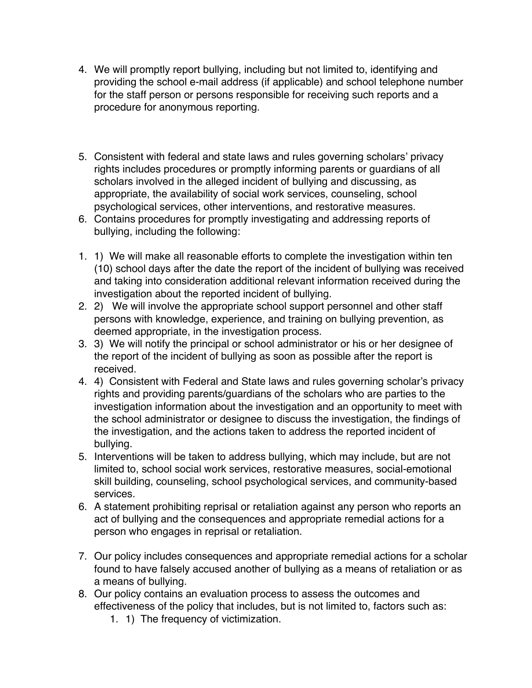- 4. We will promptly report bullying, including but not limited to, identifying and providing the school e-mail address (if applicable) and school telephone number for the staff person or persons responsible for receiving such reports and a procedure for anonymous reporting.
- 5. Consistent with federal and state laws and rules governing scholars' privacy rights includes procedures or promptly informing parents or guardians of all scholars involved in the alleged incident of bullying and discussing, as appropriate, the availability of social work services, counseling, school psychological services, other interventions, and restorative measures.
- 6. Contains procedures for promptly investigating and addressing reports of bullying, including the following:
- 1. 1) We will make all reasonable efforts to complete the investigation within ten (10) school days after the date the report of the incident of bullying was received and taking into consideration additional relevant information received during the investigation about the reported incident of bullying.
- 2. 2) We will involve the appropriate school support personnel and other staff persons with knowledge, experience, and training on bullying prevention, as deemed appropriate, in the investigation process.
- 3. 3) We will notify the principal or school administrator or his or her designee of the report of the incident of bullying as soon as possible after the report is received.
- 4. 4) Consistent with Federal and State laws and rules governing scholar's privacy rights and providing parents/guardians of the scholars who are parties to the investigation information about the investigation and an opportunity to meet with the school administrator or designee to discuss the investigation, the findings of the investigation, and the actions taken to address the reported incident of bullying.
- 5. Interventions will be taken to address bullying, which may include, but are not limited to, school social work services, restorative measures, social-emotional skill building, counseling, school psychological services, and community-based services.
- 6. A statement prohibiting reprisal or retaliation against any person who reports an act of bullying and the consequences and appropriate remedial actions for a person who engages in reprisal or retaliation.
- 7. Our policy includes consequences and appropriate remedial actions for a scholar found to have falsely accused another of bullying as a means of retaliation or as a means of bullying.
- 8. Our policy contains an evaluation process to assess the outcomes and effectiveness of the policy that includes, but is not limited to, factors such as:
	- 1. 1) The frequency of victimization.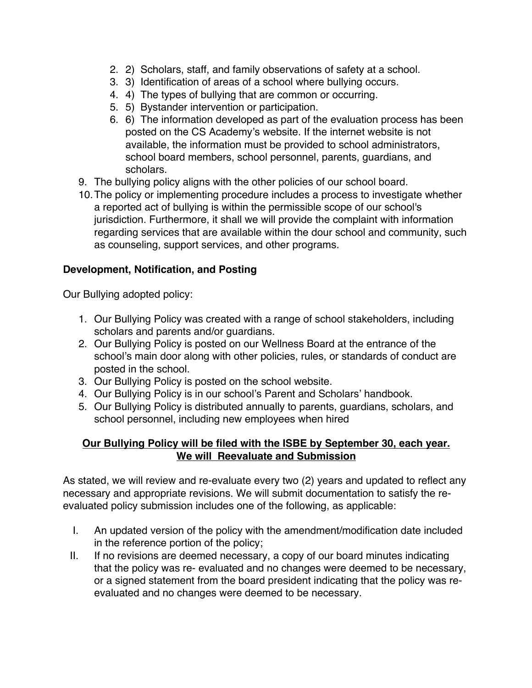- 2. 2) Scholars, staff, and family observations of safety at a school.
- 3. 3) Identification of areas of a school where bullying occurs.
- 4. 4) The types of bullying that are common or occurring.
- 5. 5) Bystander intervention or participation.
- 6. 6) The information developed as part of the evaluation process has been posted on the CS Academy's website. If the internet website is not available, the information must be provided to school administrators, school board members, school personnel, parents, guardians, and scholars.
- 9. The bullying policy aligns with the other policies of our school board.
- 10.The policy or implementing procedure includes a process to investigate whether a reported act of bullying is within the permissible scope of our school's jurisdiction. Furthermore, it shall we will provide the complaint with information regarding services that are available within the dour school and community, such as counseling, support services, and other programs.

#### **Development, Notification, and Posting**

Our Bullying adopted policy:

- 1. Our Bullying Policy was created with a range of school stakeholders, including scholars and parents and/or guardians.
- 2. Our Bullying Policy is posted on our Wellness Board at the entrance of the school's main door along with other policies, rules, or standards of conduct are posted in the school.
- 3. Our Bullying Policy is posted on the school website.
- 4. Our Bullying Policy is in our school's Parent and Scholars' handbook.
- 5. Our Bullying Policy is distributed annually to parents, guardians, scholars, and school personnel, including new employees when hired

#### **Our Bullying Policy will be filed with the ISBE by September 30, each year. We will Reevaluate and Submission**

As stated, we will review and re-evaluate every two (2) years and updated to reflect any necessary and appropriate revisions. We will submit documentation to satisfy the reevaluated policy submission includes one of the following, as applicable:

- I. An updated version of the policy with the amendment/modification date included in the reference portion of the policy;
- II. If no revisions are deemed necessary, a copy of our board minutes indicating that the policy was re- evaluated and no changes were deemed to be necessary, or a signed statement from the board president indicating that the policy was reevaluated and no changes were deemed to be necessary.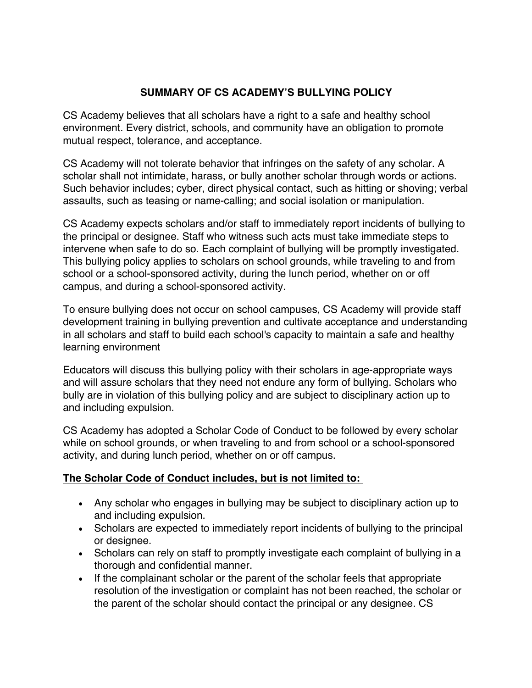#### **SUMMARY OF CS ACADEMY'S BULLYING POLICY**

CS Academy believes that all scholars have a right to a safe and healthy school environment. Every district, schools, and community have an obligation to promote mutual respect, tolerance, and acceptance.

CS Academy will not tolerate behavior that infringes on the safety of any scholar. A scholar shall not intimidate, harass, or bully another scholar through words or actions. Such behavior includes; cyber, direct physical contact, such as hitting or shoving; verbal assaults, such as teasing or name-calling; and social isolation or manipulation.

CS Academy expects scholars and/or staff to immediately report incidents of bullying to the principal or designee. Staff who witness such acts must take immediate steps to intervene when safe to do so. Each complaint of bullying will be promptly investigated. This bullying policy applies to scholars on school grounds, while traveling to and from school or a school-sponsored activity, during the lunch period, whether on or off campus, and during a school-sponsored activity.

To ensure bullying does not occur on school campuses, CS Academy will provide staff development training in bullying prevention and cultivate acceptance and understanding in all scholars and staff to build each school's capacity to maintain a safe and healthy learning environment

Educators will discuss this bullying policy with their scholars in age-appropriate ways and will assure scholars that they need not endure any form of bullying. Scholars who bully are in violation of this bullying policy and are subject to disciplinary action up to and including expulsion.

CS Academy has adopted a Scholar Code of Conduct to be followed by every scholar while on school grounds, or when traveling to and from school or a school-sponsored activity, and during lunch period, whether on or off campus.

#### **The Scholar Code of Conduct includes, but is not limited to:**

- Any scholar who engages in bullying may be subject to disciplinary action up to and including expulsion.
- Scholars are expected to immediately report incidents of bullying to the principal or designee.
- Scholars can rely on staff to promptly investigate each complaint of bullying in a thorough and confidential manner.
- If the complainant scholar or the parent of the scholar feels that appropriate resolution of the investigation or complaint has not been reached, the scholar or the parent of the scholar should contact the principal or any designee. CS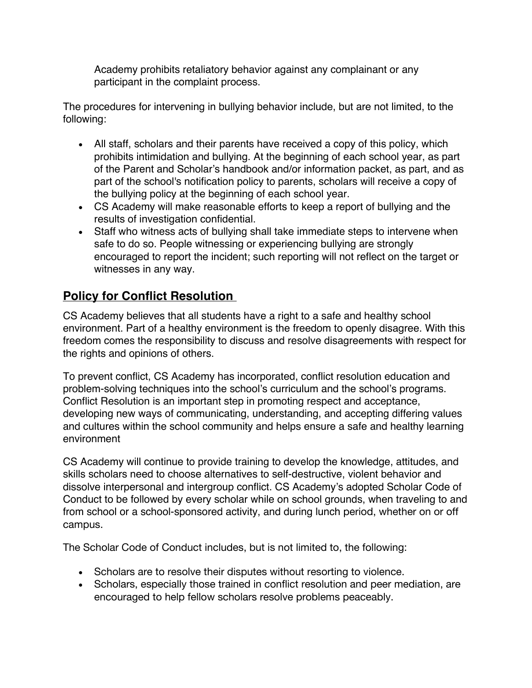Academy prohibits retaliatory behavior against any complainant or any participant in the complaint process.

The procedures for intervening in bullying behavior include, but are not limited, to the following:

- All staff, scholars and their parents have received a copy of this policy, which prohibits intimidation and bullying. At the beginning of each school year, as part of the Parent and Scholar's handbook and/or information packet, as part, and as part of the school's notification policy to parents, scholars will receive a copy of the bullying policy at the beginning of each school year.
- CS Academy will make reasonable efforts to keep a report of bullying and the results of investigation confidential.
- Staff who witness acts of bullying shall take immediate steps to intervene when safe to do so. People witnessing or experiencing bullying are strongly encouraged to report the incident; such reporting will not reflect on the target or witnesses in any way.

### **Policy for Conflict Resolution**

CS Academy believes that all students have a right to a safe and healthy school environment. Part of a healthy environment is the freedom to openly disagree. With this freedom comes the responsibility to discuss and resolve disagreements with respect for the rights and opinions of others.

To prevent conflict, CS Academy has incorporated, conflict resolution education and problem-solving techniques into the school's curriculum and the school's programs. Conflict Resolution is an important step in promoting respect and acceptance, developing new ways of communicating, understanding, and accepting differing values and cultures within the school community and helps ensure a safe and healthy learning environment

CS Academy will continue to provide training to develop the knowledge, attitudes, and skills scholars need to choose alternatives to self-destructive, violent behavior and dissolve interpersonal and intergroup conflict. CS Academy's adopted Scholar Code of Conduct to be followed by every scholar while on school grounds, when traveling to and from school or a school-sponsored activity, and during lunch period, whether on or off campus.

The Scholar Code of Conduct includes, but is not limited to, the following:

- Scholars are to resolve their disputes without resorting to violence.
- Scholars, especially those trained in conflict resolution and peer mediation, are encouraged to help fellow scholars resolve problems peaceably.